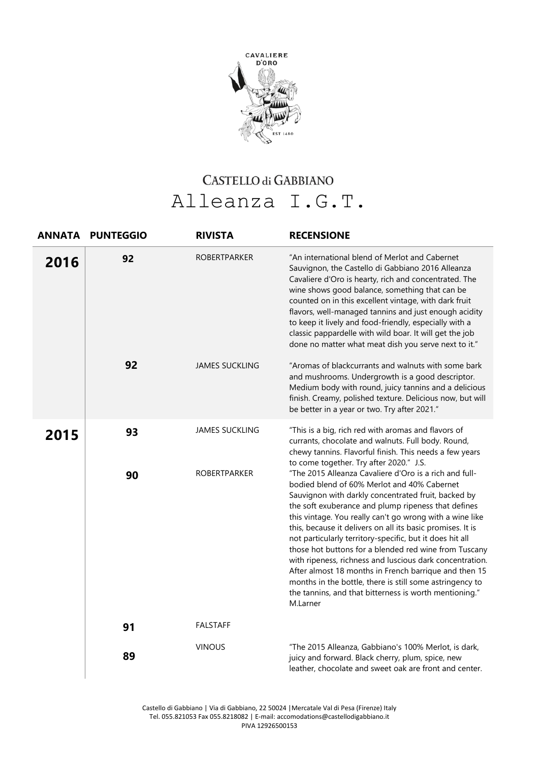

## CASTELLO di GABBIANO Alleanza I.G.T.

| <b>ANNATA</b> | <b>PUNTEGGIO</b> | <b>RIVISTA</b>                               | <b>RECENSIONE</b>                                                                                                                                                                                                                                                                                                                                                                                                                                                                                                                                                                                                                                                                                                                                                                                                                                                                                                                            |
|---------------|------------------|----------------------------------------------|----------------------------------------------------------------------------------------------------------------------------------------------------------------------------------------------------------------------------------------------------------------------------------------------------------------------------------------------------------------------------------------------------------------------------------------------------------------------------------------------------------------------------------------------------------------------------------------------------------------------------------------------------------------------------------------------------------------------------------------------------------------------------------------------------------------------------------------------------------------------------------------------------------------------------------------------|
| 2016          | 92               | <b>ROBERTPARKER</b>                          | "An international blend of Merlot and Cabernet<br>Sauvignon, the Castello di Gabbiano 2016 Alleanza<br>Cavaliere d'Oro is hearty, rich and concentrated. The<br>wine shows good balance, something that can be<br>counted on in this excellent vintage, with dark fruit<br>flavors, well-managed tannins and just enough acidity<br>to keep it lively and food-friendly, especially with a<br>classic pappardelle with wild boar. It will get the job<br>done no matter what meat dish you serve next to it."                                                                                                                                                                                                                                                                                                                                                                                                                                |
|               | 92               | <b>JAMES SUCKLING</b>                        | "Aromas of blackcurrants and walnuts with some bark<br>and mushrooms. Undergrowth is a good descriptor.<br>Medium body with round, juicy tannins and a delicious<br>finish. Creamy, polished texture. Delicious now, but will<br>be better in a year or two. Try after 2021."                                                                                                                                                                                                                                                                                                                                                                                                                                                                                                                                                                                                                                                                |
| 2015          | 93<br>90         | <b>JAMES SUCKLING</b><br><b>ROBERTPARKER</b> | "This is a big, rich red with aromas and flavors of<br>currants, chocolate and walnuts. Full body. Round,<br>chewy tannins. Flavorful finish. This needs a few years<br>to come together. Try after 2020." J.S.<br>"The 2015 Alleanza Cavaliere d'Oro is a rich and full-<br>bodied blend of 60% Merlot and 40% Cabernet<br>Sauvignon with darkly concentrated fruit, backed by<br>the soft exuberance and plump ripeness that defines<br>this vintage. You really can't go wrong with a wine like<br>this, because it delivers on all its basic promises. It is<br>not particularly territory-specific, but it does hit all<br>those hot buttons for a blended red wine from Tuscany<br>with ripeness, richness and luscious dark concentration.<br>After almost 18 months in French barrique and then 15<br>months in the bottle, there is still some astringency to<br>the tannins, and that bitterness is worth mentioning."<br>M.Larner |
|               | 91               | <b>FALSTAFF</b>                              |                                                                                                                                                                                                                                                                                                                                                                                                                                                                                                                                                                                                                                                                                                                                                                                                                                                                                                                                              |
|               | 89               | <b>VINOUS</b>                                | "The 2015 Alleanza, Gabbiano's 100% Merlot, is dark,<br>juicy and forward. Black cherry, plum, spice, new<br>leather, chocolate and sweet oak are front and center.                                                                                                                                                                                                                                                                                                                                                                                                                                                                                                                                                                                                                                                                                                                                                                          |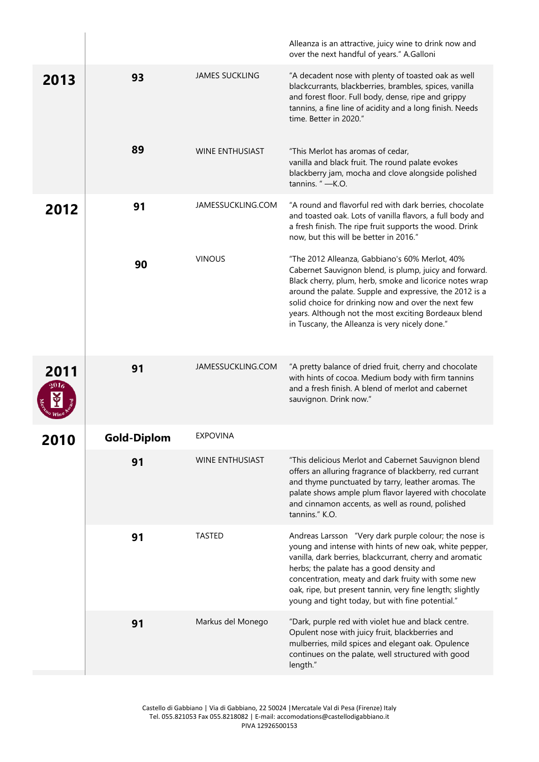|      |             |                        | Alleanza is an attractive, juicy wine to drink now and<br>over the next handful of years." A.Galloni                                                                                                                                                                                                                                                                                            |
|------|-------------|------------------------|-------------------------------------------------------------------------------------------------------------------------------------------------------------------------------------------------------------------------------------------------------------------------------------------------------------------------------------------------------------------------------------------------|
| 2013 | 93          | <b>JAMES SUCKLING</b>  | "A decadent nose with plenty of toasted oak as well<br>blackcurrants, blackberries, brambles, spices, vanilla<br>and forest floor. Full body, dense, ripe and grippy<br>tannins, a fine line of acidity and a long finish. Needs<br>time. Better in 2020."                                                                                                                                      |
|      | 89          | <b>WINE ENTHUSIAST</b> | "This Merlot has aromas of cedar,<br>vanilla and black fruit. The round palate evokes<br>blackberry jam, mocha and clove alongside polished<br>tannins. "-K.O.                                                                                                                                                                                                                                  |
| 2012 | 91          | JAMESSUCKLING.COM      | "A round and flavorful red with dark berries, chocolate<br>and toasted oak. Lots of vanilla flavors, a full body and<br>a fresh finish. The ripe fruit supports the wood. Drink<br>now, but this will be better in 2016."                                                                                                                                                                       |
|      | 90          | <b>VINOUS</b>          | "The 2012 Alleanza, Gabbiano's 60% Merlot, 40%<br>Cabernet Sauvignon blend, is plump, juicy and forward.<br>Black cherry, plum, herb, smoke and licorice notes wrap<br>around the palate. Supple and expressive, the 2012 is a<br>solid choice for drinking now and over the next few<br>years. Although not the most exciting Bordeaux blend<br>in Tuscany, the Alleanza is very nicely done." |
| 2011 | 91          | JAMESSUCKLING.COM      | "A pretty balance of dried fruit, cherry and chocolate<br>with hints of cocoa. Medium body with firm tannins<br>and a fresh finish. A blend of merlot and cabernet<br>sauvignon. Drink now."                                                                                                                                                                                                    |
| 2010 | Gold-Diplom | <b>EXPOVINA</b>        |                                                                                                                                                                                                                                                                                                                                                                                                 |
|      | 91          | <b>WINE ENTHUSIAST</b> | "This delicious Merlot and Cabernet Sauvignon blend<br>offers an alluring fragrance of blackberry, red currant<br>and thyme punctuated by tarry, leather aromas. The<br>palate shows ample plum flavor layered with chocolate<br>and cinnamon accents, as well as round, polished<br>tannins." K.O.                                                                                             |
|      | 91          | <b>TASTED</b>          | Andreas Larsson "Very dark purple colour; the nose is<br>young and intense with hints of new oak, white pepper,<br>vanilla, dark berries, blackcurrant, cherry and aromatic<br>herbs; the palate has a good density and<br>concentration, meaty and dark fruity with some new<br>oak, ripe, but present tannin, very fine length; slightly<br>young and tight today, but with fine potential."  |
|      | 91          | Markus del Monego      | "Dark, purple red with violet hue and black centre.<br>Opulent nose with juicy fruit, blackberries and<br>mulberries, mild spices and elegant oak. Opulence<br>continues on the palate, well structured with good<br>length."                                                                                                                                                                   |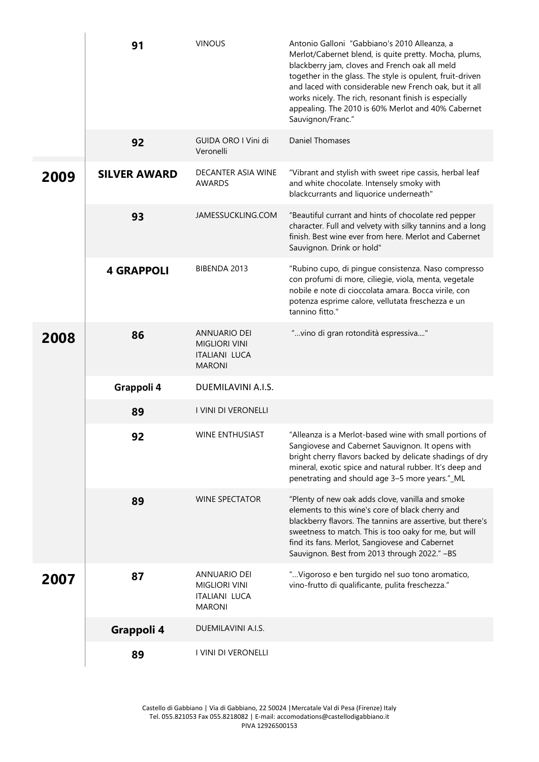|      | 91                  | <b>VINOUS</b>                                                                        | Antonio Galloni "Gabbiano's 2010 Alleanza, a<br>Merlot/Cabernet blend, is quite pretty. Mocha, plums,<br>blackberry jam, cloves and French oak all meld<br>together in the glass. The style is opulent, fruit-driven<br>and laced with considerable new French oak, but it all<br>works nicely. The rich, resonant finish is especially<br>appealing. The 2010 is 60% Merlot and 40% Cabernet<br>Sauvignon/Franc." |
|------|---------------------|--------------------------------------------------------------------------------------|--------------------------------------------------------------------------------------------------------------------------------------------------------------------------------------------------------------------------------------------------------------------------------------------------------------------------------------------------------------------------------------------------------------------|
|      | 92                  | GUIDA ORO I Vini di<br>Veronelli                                                     | <b>Daniel Thomases</b>                                                                                                                                                                                                                                                                                                                                                                                             |
| 2009 | <b>SILVER AWARD</b> | DECANTER ASIA WINE<br>AWARDS                                                         | "Vibrant and stylish with sweet ripe cassis, herbal leaf<br>and white chocolate. Intensely smoky with<br>blackcurrants and liquorice underneath"                                                                                                                                                                                                                                                                   |
|      | 93                  | JAMESSUCKLING.COM                                                                    | "Beautiful currant and hints of chocolate red pepper<br>character. Full and velvety with silky tannins and a long<br>finish. Best wine ever from here. Merlot and Cabernet<br>Sauvignon. Drink or hold"                                                                                                                                                                                                            |
|      | <b>4 GRAPPOLI</b>   | BIBENDA 2013                                                                         | "Rubino cupo, di pingue consistenza. Naso compresso<br>con profumi di more, ciliegie, viola, menta, vegetale<br>nobile e note di cioccolata amara. Bocca virile, con<br>potenza esprime calore, vellutata freschezza e un<br>tannino fitto."                                                                                                                                                                       |
| 2008 | 86                  | <b>ANNUARIO DEI</b><br><b>MIGLIORI VINI</b><br><b>ITALIANI LUCA</b><br><b>MARONI</b> | "vino di gran rotondità espressiva"                                                                                                                                                                                                                                                                                                                                                                                |
|      | Grappoli 4          | DUEMILAVINI A.I.S.                                                                   |                                                                                                                                                                                                                                                                                                                                                                                                                    |
|      | 89                  | I VINI DI VERONELLI                                                                  |                                                                                                                                                                                                                                                                                                                                                                                                                    |
|      | 92                  | WINE ENTHUSIAST                                                                      | "Alleanza is a Merlot-based wine with small portions of<br>Sangiovese and Cabernet Sauvignon. It opens with<br>bright cherry flavors backed by delicate shadings of dry<br>mineral, exotic spice and natural rubber. It's deep and<br>penetrating and should age 3-5 more years."_ML                                                                                                                               |
|      | 89                  | <b>WINE SPECTATOR</b>                                                                | "Plenty of new oak adds clove, vanilla and smoke<br>elements to this wine's core of black cherry and<br>blackberry flavors. The tannins are assertive, but there's<br>sweetness to match. This is too oaky for me, but will<br>find its fans. Merlot, Sangiovese and Cabernet<br>Sauvignon. Best from 2013 through 2022." -BS                                                                                      |
| 2007 | 87                  | <b>ANNUARIO DEI</b><br><b>MIGLIORI VINI</b><br>ITALIANI LUCA<br><b>MARONI</b>        | " Vigoroso e ben turgido nel suo tono aromatico,<br>vino-frutto di qualificante, pulita freschezza."                                                                                                                                                                                                                                                                                                               |
|      | Grappoli 4          | DUEMILAVINI A.I.S.                                                                   |                                                                                                                                                                                                                                                                                                                                                                                                                    |
|      | 89                  | I VINI DI VERONELLI                                                                  |                                                                                                                                                                                                                                                                                                                                                                                                                    |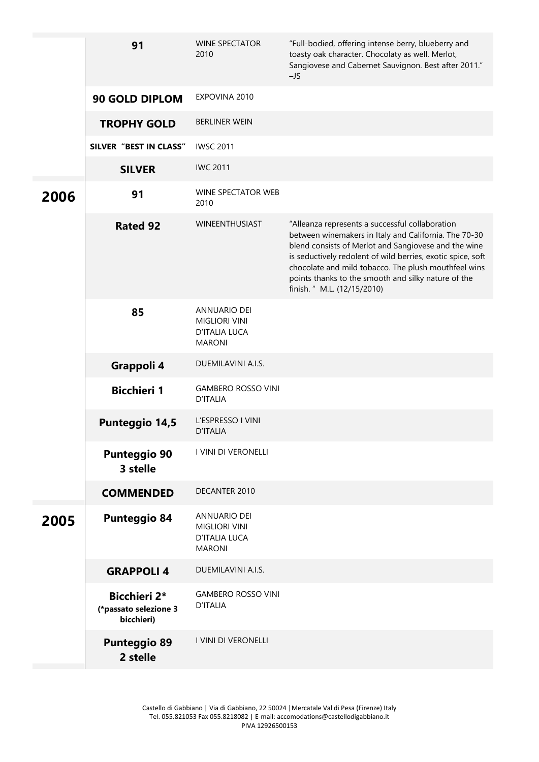|      | 91                                                         | <b>WINE SPECTATOR</b><br>2010                                                        | "Full-bodied, offering intense berry, blueberry and<br>toasty oak character. Chocolaty as well. Merlot,<br>Sangiovese and Cabernet Sauvignon. Best after 2011."<br>$-JS$                                                                                                                                                                                                      |
|------|------------------------------------------------------------|--------------------------------------------------------------------------------------|-------------------------------------------------------------------------------------------------------------------------------------------------------------------------------------------------------------------------------------------------------------------------------------------------------------------------------------------------------------------------------|
|      | <b>90 GOLD DIPLOM</b>                                      | EXPOVINA 2010                                                                        |                                                                                                                                                                                                                                                                                                                                                                               |
|      | <b>TROPHY GOLD</b>                                         | <b>BERLINER WEIN</b>                                                                 |                                                                                                                                                                                                                                                                                                                                                                               |
|      | SILVER "BEST IN CLASS"                                     | <b>IWSC 2011</b>                                                                     |                                                                                                                                                                                                                                                                                                                                                                               |
|      | <b>SILVER</b>                                              | <b>IWC 2011</b>                                                                      |                                                                                                                                                                                                                                                                                                                                                                               |
| 2006 | 91                                                         | WINE SPECTATOR WEB<br>2010                                                           |                                                                                                                                                                                                                                                                                                                                                                               |
|      | <b>Rated 92</b>                                            | WINEENTHUSIAST                                                                       | "Alleanza represents a successful collaboration<br>between winemakers in Italy and California. The 70-30<br>blend consists of Merlot and Sangiovese and the wine<br>is seductively redolent of wild berries, exotic spice, soft<br>chocolate and mild tobacco. The plush mouthfeel wins<br>points thanks to the smooth and silky nature of the<br>finish. " M.L. (12/15/2010) |
|      | 85                                                         | <b>ANNUARIO DEI</b><br><b>MIGLIORI VINI</b><br><b>D'ITALIA LUCA</b><br><b>MARONI</b> |                                                                                                                                                                                                                                                                                                                                                                               |
|      | Grappoli 4                                                 | DUEMILAVINI A.I.S.                                                                   |                                                                                                                                                                                                                                                                                                                                                                               |
|      | <b>Bicchieri 1</b>                                         | <b>GAMBERO ROSSO VINI</b><br><b>D'ITALIA</b>                                         |                                                                                                                                                                                                                                                                                                                                                                               |
|      | <b>Punteggio 14,5</b>                                      | L'ESPRESSO I VINI<br><b>D'ITALIA</b>                                                 |                                                                                                                                                                                                                                                                                                                                                                               |
|      | <b>Punteggio 90</b><br>3 stelle                            | I VINI DI VERONELLI                                                                  |                                                                                                                                                                                                                                                                                                                                                                               |
|      | <b>COMMENDED</b>                                           | DECANTER 2010                                                                        |                                                                                                                                                                                                                                                                                                                                                                               |
| 2005 | <b>Punteggio 84</b>                                        | <b>ANNUARIO DEI</b><br><b>MIGLIORI VINI</b><br><b>D'ITALIA LUCA</b><br><b>MARONI</b> |                                                                                                                                                                                                                                                                                                                                                                               |
|      | <b>GRAPPOLI 4</b>                                          | DUEMILAVINI A.I.S.                                                                   |                                                                                                                                                                                                                                                                                                                                                                               |
|      | <b>Bicchieri 2*</b><br>(*passato selezione 3<br>bicchieri) | <b>GAMBERO ROSSO VINI</b><br><b>D'ITALIA</b>                                         |                                                                                                                                                                                                                                                                                                                                                                               |
|      | <b>Punteggio 89</b><br>2 stelle                            | I VINI DI VERONELLI                                                                  |                                                                                                                                                                                                                                                                                                                                                                               |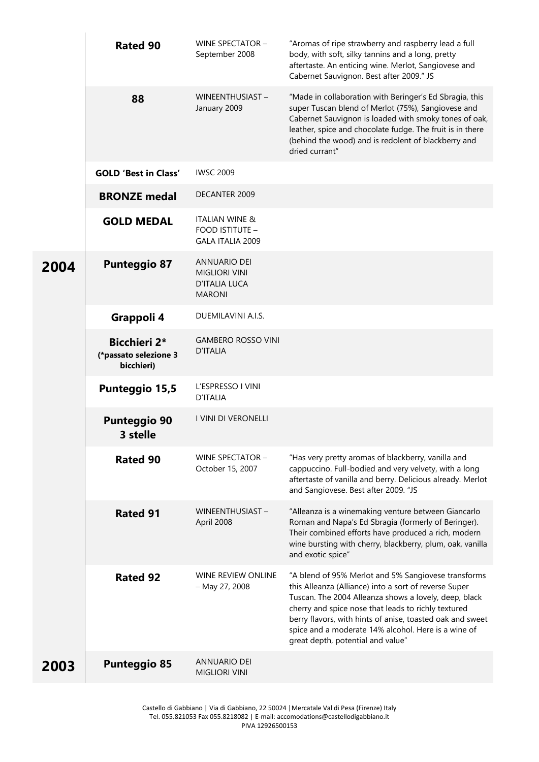|      | <b>Rated 90</b>                                            | WINE SPECTATOR -<br>September 2008                                            | "Aromas of ripe strawberry and raspberry lead a full<br>body, with soft, silky tannins and a long, pretty<br>aftertaste. An enticing wine. Merlot, Sangiovese and<br>Cabernet Sauvignon. Best after 2009." JS                                                                                                                                                                         |
|------|------------------------------------------------------------|-------------------------------------------------------------------------------|---------------------------------------------------------------------------------------------------------------------------------------------------------------------------------------------------------------------------------------------------------------------------------------------------------------------------------------------------------------------------------------|
|      | 88                                                         | WINEENTHUSIAST-<br>January 2009                                               | "Made in collaboration with Beringer's Ed Sbragia, this<br>super Tuscan blend of Merlot (75%), Sangiovese and<br>Cabernet Sauvignon is loaded with smoky tones of oak,<br>leather, spice and chocolate fudge. The fruit is in there<br>(behind the wood) and is redolent of blackberry and<br>dried currant"                                                                          |
|      | <b>GOLD 'Best in Class'</b>                                | <b>IWSC 2009</b>                                                              |                                                                                                                                                                                                                                                                                                                                                                                       |
|      | <b>BRONZE</b> medal                                        | DECANTER 2009                                                                 |                                                                                                                                                                                                                                                                                                                                                                                       |
|      | <b>GOLD MEDAL</b>                                          | <b>ITALIAN WINE &amp;</b><br>FOOD ISTITUTE -<br><b>GALA ITALIA 2009</b>       |                                                                                                                                                                                                                                                                                                                                                                                       |
| 2004 | <b>Punteggio 87</b>                                        | <b>ANNUARIO DEI</b><br><b>MIGLIORI VINI</b><br>D'ITALIA LUCA<br><b>MARONI</b> |                                                                                                                                                                                                                                                                                                                                                                                       |
|      | Grappoli 4                                                 | DUEMILAVINI A.I.S.                                                            |                                                                                                                                                                                                                                                                                                                                                                                       |
|      | <b>Bicchieri 2*</b><br>(*passato selezione 3<br>bicchieri) | <b>GAMBERO ROSSO VINI</b><br><b>D'ITALIA</b>                                  |                                                                                                                                                                                                                                                                                                                                                                                       |
|      | <b>Punteggio 15,5</b>                                      | L'ESPRESSO I VINI<br><b>D'ITALIA</b>                                          |                                                                                                                                                                                                                                                                                                                                                                                       |
|      | <b>Punteggio 90</b><br>3 stelle                            | I VINI DI VERONELLI                                                           |                                                                                                                                                                                                                                                                                                                                                                                       |
|      | <b>Rated 90</b>                                            | WINE SPECTATOR -<br>October 15, 2007                                          | "Has very pretty aromas of blackberry, vanilla and<br>cappuccino. Full-bodied and very velvety, with a long<br>aftertaste of vanilla and berry. Delicious already. Merlot<br>and Sangiovese. Best after 2009. "JS                                                                                                                                                                     |
|      | <b>Rated 91</b>                                            | WINEENTHUSIAST-<br>April 2008                                                 | "Alleanza is a winemaking venture between Giancarlo<br>Roman and Napa's Ed Sbragia (formerly of Beringer).<br>Their combined efforts have produced a rich, modern<br>wine bursting with cherry, blackberry, plum, oak, vanilla<br>and exotic spice"                                                                                                                                   |
|      | <b>Rated 92</b>                                            | WINE REVIEW ONLINE<br>- May 27, 2008                                          | "A blend of 95% Merlot and 5% Sangiovese transforms<br>this Alleanza (Alliance) into a sort of reverse Super<br>Tuscan. The 2004 Alleanza shows a lovely, deep, black<br>cherry and spice nose that leads to richly textured<br>berry flavors, with hints of anise, toasted oak and sweet<br>spice and a moderate 14% alcohol. Here is a wine of<br>great depth, potential and value" |
| 2003 | <b>Punteggio 85</b>                                        | <b>ANNUARIO DEI</b><br><b>MIGLIORI VINI</b>                                   |                                                                                                                                                                                                                                                                                                                                                                                       |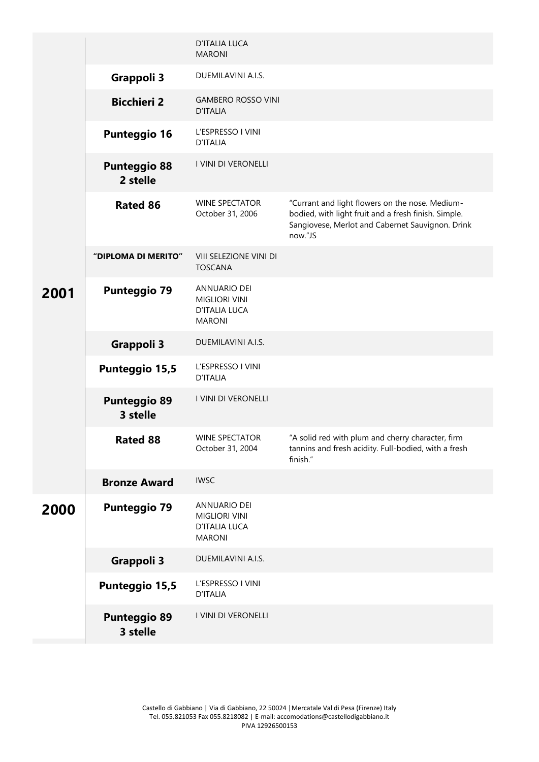|      |                                 | <b>D'ITALIA LUCA</b><br><b>MARONI</b>                                                |                                                                                                                                                                        |
|------|---------------------------------|--------------------------------------------------------------------------------------|------------------------------------------------------------------------------------------------------------------------------------------------------------------------|
|      | <b>Grappoli 3</b>               | DUEMILAVINI A.I.S.                                                                   |                                                                                                                                                                        |
|      | <b>Bicchieri 2</b>              | <b>GAMBERO ROSSO VINI</b><br><b>D'ITALIA</b>                                         |                                                                                                                                                                        |
|      | <b>Punteggio 16</b>             | L'ESPRESSO I VINI<br><b>D'ITALIA</b>                                                 |                                                                                                                                                                        |
|      | <b>Punteggio 88</b><br>2 stelle | I VINI DI VERONELLI                                                                  |                                                                                                                                                                        |
|      | <b>Rated 86</b>                 | <b>WINE SPECTATOR</b><br>October 31, 2006                                            | "Currant and light flowers on the nose. Medium-<br>bodied, with light fruit and a fresh finish. Simple.<br>Sangiovese, Merlot and Cabernet Sauvignon. Drink<br>now."JS |
|      | "DIPLOMA DI MERITO"             | VIII SELEZIONE VINI DI<br><b>TOSCANA</b>                                             |                                                                                                                                                                        |
| 2001 | <b>Punteggio 79</b>             | <b>ANNUARIO DEI</b><br><b>MIGLIORI VINI</b><br><b>D'ITALIA LUCA</b><br><b>MARONI</b> |                                                                                                                                                                        |
|      | <b>Grappoli 3</b>               | DUEMILAVINI A.I.S.                                                                   |                                                                                                                                                                        |
|      | <b>Punteggio 15,5</b>           | L'ESPRESSO I VINI<br><b>D'ITALIA</b>                                                 |                                                                                                                                                                        |
|      | <b>Punteggio 89</b><br>3 stelle | I VINI DI VERONELLI                                                                  |                                                                                                                                                                        |
|      | <b>Rated 88</b>                 | <b>WINE SPECTATOR</b><br>October 31, 2004                                            | "A solid red with plum and cherry character, firm<br>tannins and fresh acidity. Full-bodied, with a fresh<br>finish."                                                  |
|      | <b>Bronze Award</b>             | <b>IWSC</b>                                                                          |                                                                                                                                                                        |
| 2000 | <b>Punteggio 79</b>             | <b>ANNUARIO DEI</b><br><b>MIGLIORI VINI</b><br>D'ITALIA LUCA<br><b>MARONI</b>        |                                                                                                                                                                        |
|      | <b>Grappoli 3</b>               | DUEMILAVINI A.I.S.                                                                   |                                                                                                                                                                        |
|      | <b>Punteggio 15,5</b>           | L'ESPRESSO I VINI<br><b>D'ITALIA</b>                                                 |                                                                                                                                                                        |
|      | <b>Punteggio 89</b><br>3 stelle | I VINI DI VERONELLI                                                                  |                                                                                                                                                                        |